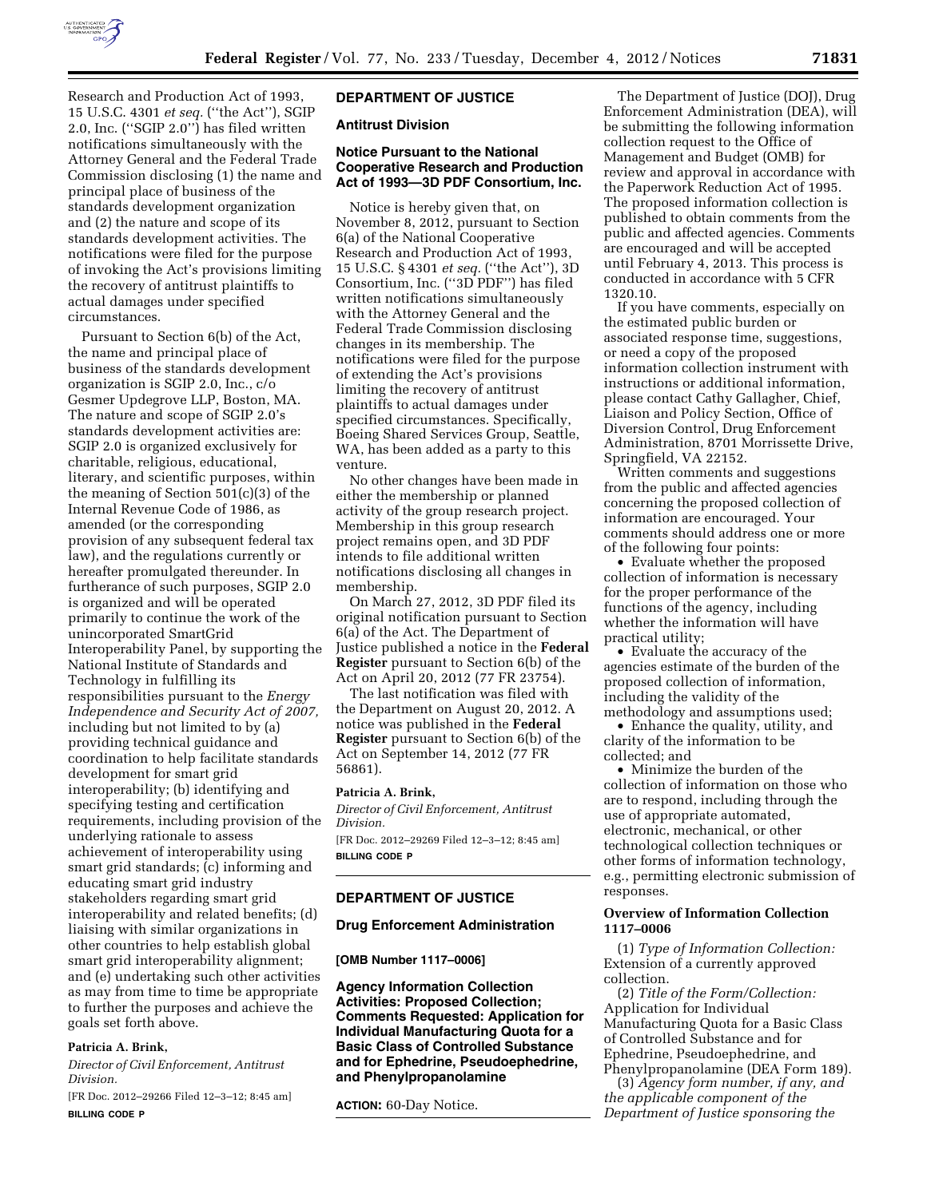

Research and Production Act of 1993, 15 U.S.C. 4301 *et seq.* (''the Act''), SGIP 2.0, Inc. (''SGIP 2.0'') has filed written notifications simultaneously with the Attorney General and the Federal Trade Commission disclosing (1) the name and principal place of business of the standards development organization and (2) the nature and scope of its standards development activities. The notifications were filed for the purpose of invoking the Act's provisions limiting the recovery of antitrust plaintiffs to actual damages under specified circumstances.

Pursuant to Section 6(b) of the Act, the name and principal place of business of the standards development organization is SGIP 2.0, Inc., c/o Gesmer Updegrove LLP, Boston, MA. The nature and scope of SGIP 2.0's standards development activities are: SGIP 2.0 is organized exclusively for charitable, religious, educational, literary, and scientific purposes, within the meaning of Section 501(c)(3) of the Internal Revenue Code of 1986, as amended (or the corresponding provision of any subsequent federal tax law), and the regulations currently or hereafter promulgated thereunder. In furtherance of such purposes, SGIP 2.0 is organized and will be operated primarily to continue the work of the unincorporated SmartGrid Interoperability Panel, by supporting the National Institute of Standards and Technology in fulfilling its responsibilities pursuant to the *Energy Independence and Security Act of 2007,*  including but not limited to by (a) providing technical guidance and coordination to help facilitate standards development for smart grid interoperability; (b) identifying and specifying testing and certification requirements, including provision of the underlying rationale to assess achievement of interoperability using smart grid standards; (c) informing and educating smart grid industry stakeholders regarding smart grid interoperability and related benefits; (d) liaising with similar organizations in other countries to help establish global smart grid interoperability alignment; and (e) undertaking such other activities as may from time to time be appropriate to further the purposes and achieve the goals set forth above.

## **Patricia A. Brink,**

*Director of Civil Enforcement, Antitrust Division.* 

[FR Doc. 2012–29266 Filed 12–3–12; 8:45 am] **BILLING CODE P** 

# **DEPARTMENT OF JUSTICE**

### **Antitrust Division**

### **Notice Pursuant to the National Cooperative Research and Production Act of 1993—3D PDF Consortium, Inc.**

Notice is hereby given that, on November 8, 2012, pursuant to Section 6(a) of the National Cooperative Research and Production Act of 1993, 15 U.S.C. § 4301 *et seq.* (''the Act''), 3D Consortium, Inc. (''3D PDF'') has filed written notifications simultaneously with the Attorney General and the Federal Trade Commission disclosing changes in its membership. The notifications were filed for the purpose of extending the Act's provisions limiting the recovery of antitrust plaintiffs to actual damages under specified circumstances. Specifically, Boeing Shared Services Group, Seattle, WA, has been added as a party to this venture.

No other changes have been made in either the membership or planned activity of the group research project. Membership in this group research project remains open, and 3D PDF intends to file additional written notifications disclosing all changes in membership.

On March 27, 2012, 3D PDF filed its original notification pursuant to Section 6(a) of the Act. The Department of Justice published a notice in the **Federal Register** pursuant to Section 6(b) of the Act on April 20, 2012 (77 FR 23754).

The last notification was filed with the Department on August 20, 2012. A notice was published in the **Federal Register** pursuant to Section 6(b) of the Act on September 14, 2012 (77 FR 56861).

#### **Patricia A. Brink,**

*Director of Civil Enforcement, Antitrust Division.*  [FR Doc. 2012–29269 Filed 12–3–12; 8:45 am] **BILLING CODE P** 

# **DEPARTMENT OF JUSTICE**

## **Drug Enforcement Administration**

#### **[OMB Number 1117–0006]**

**Agency Information Collection Activities: Proposed Collection; Comments Requested: Application for Individual Manufacturing Quota for a Basic Class of Controlled Substance and for Ephedrine, Pseudoephedrine, and Phenylpropanolamine** 

**ACTION:** 60-Day Notice.

The Department of Justice (DOJ), Drug Enforcement Administration (DEA), will be submitting the following information collection request to the Office of Management and Budget (OMB) for review and approval in accordance with the Paperwork Reduction Act of 1995. The proposed information collection is published to obtain comments from the public and affected agencies. Comments are encouraged and will be accepted until February 4, 2013. This process is conducted in accordance with 5 CFR 1320.10.

If you have comments, especially on the estimated public burden or associated response time, suggestions, or need a copy of the proposed information collection instrument with instructions or additional information, please contact Cathy Gallagher, Chief, Liaison and Policy Section, Office of Diversion Control, Drug Enforcement Administration, 8701 Morrissette Drive, Springfield, VA 22152.

Written comments and suggestions from the public and affected agencies concerning the proposed collection of information are encouraged. Your comments should address one or more of the following four points:

• Evaluate whether the proposed collection of information is necessary for the proper performance of the functions of the agency, including whether the information will have practical utility;

• Evaluate the accuracy of the agencies estimate of the burden of the proposed collection of information, including the validity of the methodology and assumptions used;

• Enhance the quality, utility, and clarity of the information to be collected; and

• Minimize the burden of the collection of information on those who are to respond, including through the use of appropriate automated, electronic, mechanical, or other technological collection techniques or other forms of information technology, e.g., permitting electronic submission of responses.

## **Overview of Information Collection 1117–0006**

(1) *Type of Information Collection:*  Extension of a currently approved collection.

(2) *Title of the Form/Collection:*  Application for Individual Manufacturing Quota for a Basic Class of Controlled Substance and for Ephedrine, Pseudoephedrine, and Phenylpropanolamine (DEA Form 189).

(3) *Agency form number, if any, and the applicable component of the Department of Justice sponsoring the*